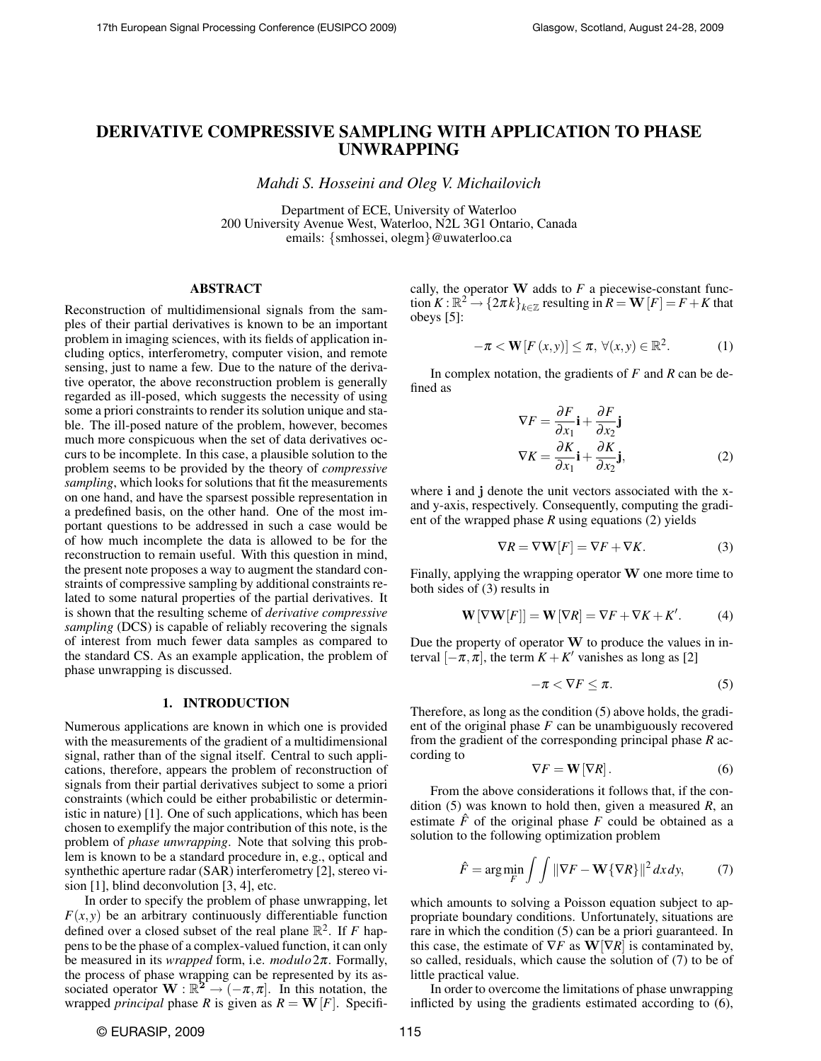# DERIVATIVE COMPRESSIVE SAMPLING WITH APPLICATION TO PHASE UNWRAPPING

*Mahdi S. Hosseini and Oleg V. Michailovich*

Department of ECE, University of Waterloo 200 University Avenue West, Waterloo, N2L 3G1 Ontario, Canada emails: {smhossei, olegm}@uwaterloo.ca

# ABSTRACT

Reconstruction of multidimensional signals from the samples of their partial derivatives is known to be an important problem in imaging sciences, with its fields of application including optics, interferometry, computer vision, and remote sensing, just to name a few. Due to the nature of the derivative operator, the above reconstruction problem is generally regarded as ill-posed, which suggests the necessity of using some a priori constraints to render its solution unique and stable. The ill-posed nature of the problem, however, becomes much more conspicuous when the set of data derivatives occurs to be incomplete. In this case, a plausible solution to the problem seems to be provided by the theory of *compressive sampling*, which looks for solutions that fit the measurements on one hand, and have the sparsest possible representation in a predefined basis, on the other hand. One of the most important questions to be addressed in such a case would be of how much incomplete the data is allowed to be for the reconstruction to remain useful. With this question in mind, the present note proposes a way to augment the standard constraints of compressive sampling by additional constraints related to some natural properties of the partial derivatives. It is shown that the resulting scheme of *derivative compressive sampling* (DCS) is capable of reliably recovering the signals of interest from much fewer data samples as compared to the standard CS. As an example application, the problem of phase unwrapping is discussed.

## 1. INTRODUCTION

Numerous applications are known in which one is provided with the measurements of the gradient of a multidimensional signal, rather than of the signal itself. Central to such applications, therefore, appears the problem of reconstruction of signals from their partial derivatives subject to some a priori constraints (which could be either probabilistic or deterministic in nature) [1]. One of such applications, which has been chosen to exemplify the major contribution of this note, is the problem of *phase unwrapping*. Note that solving this problem is known to be a standard procedure in, e.g., optical and synthethic aperture radar (SAR) interferometry [2], stereo vision [1], blind deconvolution [3, 4], etc.

In order to specify the problem of phase unwrapping, let  $F(x, y)$  be an arbitrary continuously differentiable function defined over a closed subset of the real plane  $\mathbb{R}^2$ . If *F* happens to be the phase of a complex-valued function, it can only be measured in its *wrapped* form, i.e. *modulo*2π. Formally, the process of phase wrapping can be represented by its associated operator  $\mathbf{W} : \mathbb{R}^{2^{n}} \to (-\pi, \pi]$ . In this notation, the wrapped *principal* phase *R* is given as  $R = W[F]$ . Specifically, the operator  $W$  adds to  $F$  a piecewise-constant function  $K : \mathbb{R}^2 \to \{2\pi k\}_{k \in \mathbb{Z}}$  resulting in  $R = \mathbf{W}[F] = F + K$  that obeys [5]:

$$
-\pi < \mathbf{W}[F(x, y)] \leq \pi, \ \forall (x, y) \in \mathbb{R}^2. \tag{1}
$$

In complex notation, the gradients of *F* and *R* can be defined as

$$
\nabla F = \frac{\partial F}{\partial x_1} \mathbf{i} + \frac{\partial F}{\partial x_2} \mathbf{j}
$$
  
\n
$$
\nabla K = \frac{\partial K}{\partial x_1} \mathbf{i} + \frac{\partial K}{\partial x_2} \mathbf{j},
$$
 (2)

where i and j denote the unit vectors associated with the xand y-axis, respectively. Consequently, computing the gradient of the wrapped phase *R* using equations (2) yields

$$
\nabla R = \nabla \mathbf{W}[F] = \nabla F + \nabla K.
$$
 (3)

Finally, applying the wrapping operator  $W$  one more time to both sides of (3) results in

$$
\mathbf{W}\left[\nabla\mathbf{W}[F]\right] = \mathbf{W}\left[\nabla R\right] = \nabla F + \nabla K + K'.
$$
 (4)

Due the property of operator  $W$  to produce the values in interval  $[-\pi, \pi]$ , the term  $K + K'$  vanishes as long as [2]

$$
-\pi < \nabla F \leq \pi. \tag{5}
$$

Therefore, as long as the condition (5) above holds, the gradient of the original phase *F* can be unambiguously recovered from the gradient of the corresponding principal phase *R* according to

$$
\nabla F = \mathbf{W}[\nabla R].\tag{6}
$$

From the above considerations it follows that, if the condition (5) was known to hold then, given a measured *R*, an estimate  $\hat{F}$  of the original phase  $F$  could be obtained as a solution to the following optimization problem

$$
\hat{F} = \arg\min_{F} \int \int \|\nabla F - \mathbf{W}\{\nabla R\}\|^2 \, dx \, dy,\tag{7}
$$

which amounts to solving a Poisson equation subject to appropriate boundary conditions. Unfortunately, situations are rare in which the condition (5) can be a priori guaranteed. In this case, the estimate of  $\nabla F$  as  $\mathbf{W}[\nabla R]$  is contaminated by, so called, residuals, which cause the solution of (7) to be of little practical value.

In order to overcome the limitations of phase unwrapping inflicted by using the gradients estimated according to (6),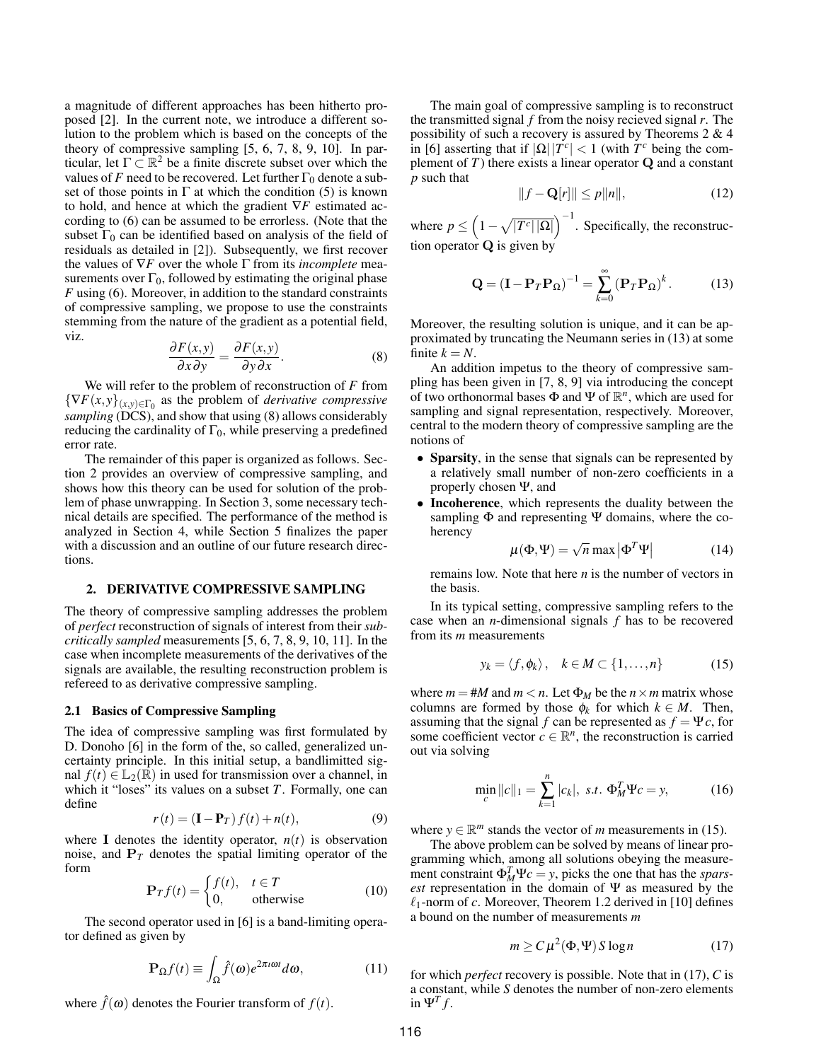a magnitude of different approaches has been hitherto proposed [2]. In the current note, we introduce a different solution to the problem which is based on the concepts of the theory of compressive sampling [5, 6, 7, 8, 9, 10]. In particular, let  $\Gamma \subset \mathbb{R}^2$  be a finite discrete subset over which the values of *F* need to be recovered. Let further  $\Gamma_0$  denote a subset of those points in  $\Gamma$  at which the condition (5) is known to hold, and hence at which the gradient ∇*F* estimated according to (6) can be assumed to be errorless. (Note that the subset  $\Gamma_0$  can be identified based on analysis of the field of residuals as detailed in [2]). Subsequently, we first recover the values of ∇*F* over the whole Γ from its *incomplete* measurements over  $\Gamma_0$ , followed by estimating the original phase *F* using (6). Moreover, in addition to the standard constraints of compressive sampling, we propose to use the constraints stemming from the nature of the gradient as a potential field, viz.

$$
\frac{\partial F(x,y)}{\partial x \partial y} = \frac{\partial F(x,y)}{\partial y \partial x}.
$$
 (8)

We will refer to the problem of reconstruction of *F* from  $\{\nabla F(x, y)\}_{(x, y) \in \Gamma_0}$  as the problem of *derivative compressive sampling* (DCS), and show that using (8) allows considerably reducing the cardinality of  $\Gamma_0$ , while preserving a predefined error rate.

The remainder of this paper is organized as follows. Section 2 provides an overview of compressive sampling, and shows how this theory can be used for solution of the problem of phase unwrapping. In Section 3, some necessary technical details are specified. The performance of the method is analyzed in Section 4, while Section 5 finalizes the paper with a discussion and an outline of our future research directions.

## 2. DERIVATIVE COMPRESSIVE SAMPLING

The theory of compressive sampling addresses the problem of *perfect* reconstruction of signals of interest from their *subcritically sampled* measurements [5, 6, 7, 8, 9, 10, 11]. In the case when incomplete measurements of the derivatives of the signals are available, the resulting reconstruction problem is refereed to as derivative compressive sampling.

# 2.1 Basics of Compressive Sampling

The idea of compressive sampling was first formulated by D. Donoho [6] in the form of the, so called, generalized uncertainty principle. In this initial setup, a bandlimitted signal  $f(t) \in \mathbb{L}_2(\mathbb{R})$  in used for transmission over a channel, in which it "loses" its values on a subset *T*. Formally, one can define

$$
r(t) = (\mathbf{I} - \mathbf{P}_T) f(t) + n(t), \tag{9}
$$

where **I** denotes the identity operator,  $n(t)$  is observation noise, and  $P_T$  denotes the spatial limiting operator of the form

$$
\mathbf{P}_T f(t) = \begin{cases} f(t), & t \in T \\ 0, & \text{otherwise} \end{cases}
$$
 (10)

The second operator used in [6] is a band-limiting operator defined as given by

$$
\mathbf{P}_{\Omega}f(t) \equiv \int_{\Omega} \hat{f}(\omega) e^{2\pi i \omega t} d\omega, \qquad (11)
$$

where  $\hat{f}(\omega)$  denotes the Fourier transform of  $f(t)$ .

The main goal of compressive sampling is to reconstruct the transmitted signal *f* from the noisy recieved signal *r*. The possibility of such a recovery is assured by Theorems 2 & 4 in [6] asserting that if  $|\Omega| |T^c| < 1$  (with  $T^c$  being the complement of  $T$ ) there exists a linear operator  $Q$  and a constant *p* such that

$$
||f - \mathbf{Q}[r]|| \le p||n||,\tag{12}
$$

where  $p \leq (1 - \sqrt{|T^c||\Omega|})^{-1}$ . Specifically, the reconstruction operator  $Q$  is given by

$$
\mathbf{Q} = (\mathbf{I} - \mathbf{P}_T \mathbf{P}_\Omega)^{-1} = \sum_{k=0}^{\infty} (\mathbf{P}_T \mathbf{P}_\Omega)^k.
$$
 (13)

Moreover, the resulting solution is unique, and it can be approximated by truncating the Neumann series in (13) at some finite  $k = N$ .

An addition impetus to the theory of compressive sampling has been given in [7, 8, 9] via introducing the concept of two orthonormal bases  $\Phi$  and  $\Psi$  of  $\mathbb{R}^n$ , which are used for sampling and signal representation, respectively. Moreover, central to the modern theory of compressive sampling are the notions of

- Sparsity, in the sense that signals can be represented by a relatively small number of non-zero coefficients in a properly chosen Ψ, and
- Incoherence, which represents the duality between the sampling  $\Phi$  and representing  $\Psi$  domains, where the coherency

$$
\mu(\Phi, \Psi) = \sqrt{n} \max |\Phi^T \Psi|
$$
 (14)

remains low. Note that here *n* is the number of vectors in the basis.

In its typical setting, compressive sampling refers to the case when an *n*-dimensional signals *f* has to be recovered from its *m* measurements

$$
y_k = \langle f, \phi_k \rangle, \quad k \in M \subset \{1, \dots, n\} \tag{15}
$$

where  $m = #M$  and  $m < n$ . Let  $\Phi_M$  be the  $n \times m$  matrix whose columns are formed by those  $\phi_k$  for which  $k \in M$ . Then, assuming that the signal *f* can be represented as  $f = \Psi c$ , for some coefficient vector  $c \in \mathbb{R}^n$ , the reconstruction is carried out via solving

$$
\min_{c} ||c||_1 = \sum_{k=1}^{n} |c_k|, \ s.t. \ \Phi_M^T \Psi c = y,\tag{16}
$$

where  $y \in \mathbb{R}^m$  stands the vector of *m* measurements in (15).

The above problem can be solved by means of linear programming which, among all solutions obeying the measurement constraint  $\Phi_M^T \Psi_c = y$ , picks the one that has the *sparsest* representation in the domain of Ψ as measured by the  $\ell_1$ -norm of *c*. Moreover, Theorem 1.2 derived in [10] defines a bound on the number of measurements *m*

$$
m \ge C\mu^2(\Phi, \Psi) S \log n \tag{17}
$$

for which *perfect* recovery is possible. Note that in (17), *C* is a constant, while *S* denotes the number of non-zero elements in  $\Psi^T f$ .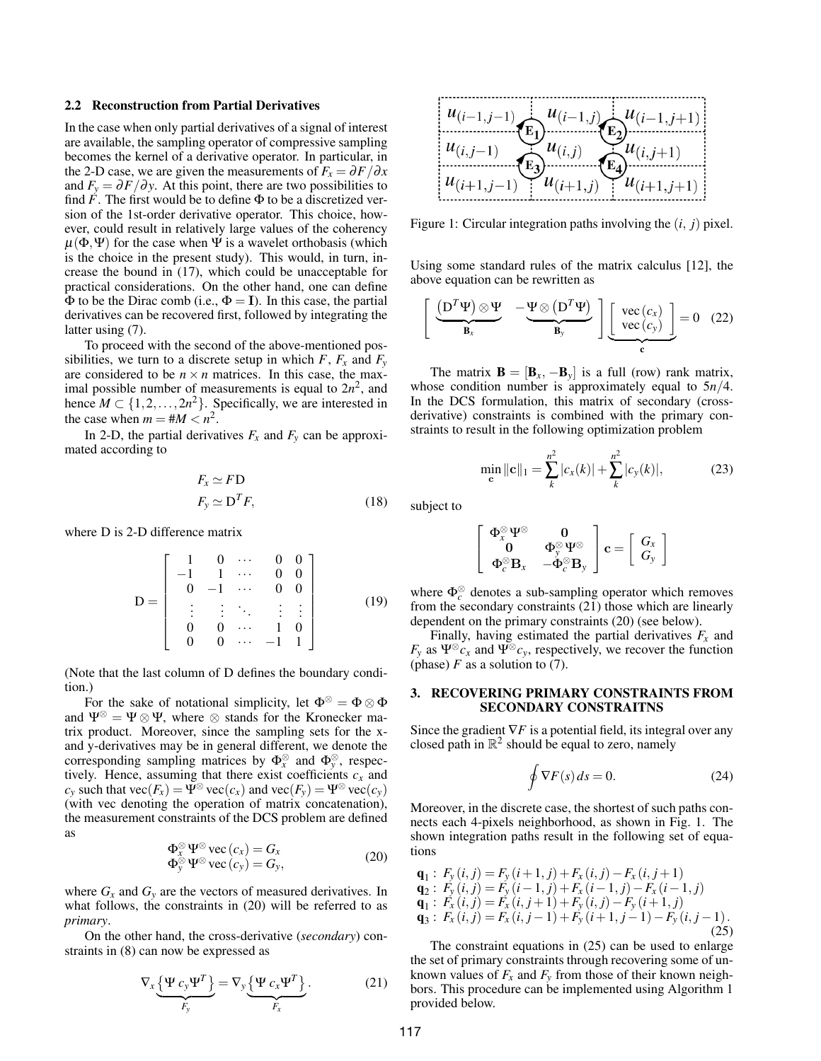#### 2.2 Reconstruction from Partial Derivatives

In the case when only partial derivatives of a signal of interest are available, the sampling operator of compressive sampling becomes the kernel of a derivative operator. In particular, in the 2-D case, we are given the measurements of  $F_x = \frac{\partial F}{\partial x}$ and  $F_y = \partial F / \partial y$ . At this point, there are two possibilities to find  $F$ . The first would be to define  $\Phi$  to be a discretized version of the 1st-order derivative operator. This choice, however, could result in relatively large values of the coherency  $\mu(\Phi, \Psi)$  for the case when  $\Psi$  is a wavelet orthobasis (which is the choice in the present study). This would, in turn, increase the bound in (17), which could be unacceptable for practical considerations. On the other hand, one can define  $\Phi$  to be the Dirac comb (i.e.,  $\Phi = I$ ). In this case, the partial derivatives can be recovered first, followed by integrating the latter using (7).

To proceed with the second of the above-mentioned possibilities, we turn to a discrete setup in which  $F, F_x$  and  $F_y$ are considered to be  $n \times n$  matrices. In this case, the maximal possible number of measurements is equal to  $2n^2$ , and hence  $M \subset \{1, 2, ..., 2n^2\}$ . Specifically, we are interested in the case when  $m = #M < n^2$ .

In 2-D, the partial derivatives  $F_x$  and  $F_y$  can be approximated according to

$$
F_x \simeq F\mathbf{D}
$$
  
\n
$$
F_y \simeq \mathbf{D}^T F,
$$
\n(18)

where D is 2-D difference matrix

$$
\mathbf{D} = \left[ \begin{array}{ccccc} 1 & 0 & \cdots & 0 & 0 \\ -1 & 1 & \cdots & 0 & 0 \\ 0 & -1 & \cdots & 0 & 0 \\ \vdots & \vdots & \ddots & \vdots & \vdots \\ 0 & 0 & \cdots & 1 & 0 \\ 0 & 0 & \cdots & -1 & 1 \end{array} \right] \tag{19}
$$

(Note that the last column of D defines the boundary condition.)

For the sake of notational simplicity, let  $\Phi^{\otimes} = \Phi \otimes \Phi$ and  $\Psi^{\otimes} = \Psi \otimes \Psi$ , where  $\otimes$  stands for the Kronecker matrix product. Moreover, since the sampling sets for the xand y-derivatives may be in general different, we denote the corresponding sampling matrices by  $\Phi_x^{\otimes}$  and  $\Phi_y^{\otimes}$ , respectively. Hence, assuming that there exist coefficients  $c_x$  and  $c_v$  such that  $\text{vec}(F_x) = \Psi^{\otimes} \text{vec}(c_x)$  and  $\text{vec}(F_v) = \Psi^{\otimes} \text{vec}(c_v)$ (with vec denoting the operation of matrix concatenation), the measurement constraints of the DCS problem are defined as

$$
\Phi_x^{\otimes} \Psi^{\otimes} \text{vec}(c_x) = G_x \n\Phi_y^{\otimes} \Psi^{\otimes} \text{vec}(c_y) = G_y,
$$
\n(20)

where  $G_x$  and  $G_y$  are the vectors of measured derivatives. In what follows, the constraints in (20) will be referred to as *primary*.

On the other hand, the cross-derivative (*secondary*) constraints in (8) can now be expressed as

$$
\nabla_x \underbrace{\{\Psi \, c_y \Psi^T\}}_{F_y} = \nabla_y \underbrace{\{\Psi \, c_x \Psi^T\}}_{F_x}.
$$
 (21)



Figure 1: Circular integration paths involving the (*i*, *j*) pixel.

Using some standard rules of the matrix calculus [12], the above equation can be rewritten as

$$
\left[\begin{array}{cc}\n(D^T\Psi) \otimes \Psi & -\Psi \otimes (D^T\Psi) \\
\hline\nB_x & B_y\n\end{array}\right] \underbrace{\left[\begin{array}{c}\n\text{vec}(c_x) \\
\text{vec}(c_y)\n\end{array}\right]}_{\mathbf{c}} = 0 \quad (22)
$$

The matrix  $\mathbf{B} = [\mathbf{B}_x, -\mathbf{B}_y]$  is a full (row) rank matrix, whose condition number is approximately equal to 5*n*/4. In the DCS formulation, this matrix of secondary (crossderivative) constraints is combined with the primary constraints to result in the following optimization problem

$$
\min_{\mathbf{c}} ||\mathbf{c}||_1 = \sum_{k}^{n^2} |c_x(k)| + \sum_{k}^{n^2} |c_y(k)|,
$$
 (23)

subject to

$$
\left[\begin{array}{cc}\Phi_x^{\otimes}\Psi^{\otimes} & \mathbf{0} \\ \mathbf{0} & \Phi_y^{\otimes}\Psi^{\otimes} \\ \Phi_c^{\otimes}\mathbf{B}_x & -\Phi_c^{\otimes}\mathbf{B}_y\end{array}\right]\mathbf{c} = \left[\begin{array}{c}G_x \\ G_y\end{array}\right]
$$

where  $\Phi_c^{\otimes}$  denotes a sub-sampling operator which removes from the secondary constraints (21) those which are linearly dependent on the primary constraints (20) (see below).

Finally, having estimated the partial derivatives  $F_x$  and  $F_y$  as  $\Psi^{\otimes} c_x$  and  $\Psi^{\otimes} c_y$ , respectively, we recover the function (phase)  $F$  as a solution to (7).

# 3. RECOVERING PRIMARY CONSTRAINTS FROM SECONDARY CONSTRAITNS

Since the gradient  $∇F$  is a potential field, its integral over any closed path in  $\mathbb{R}^2$  should be equal to zero, namely

$$
\oint \nabla F(s) \, ds = 0. \tag{24}
$$

Moreover, in the discrete case, the shortest of such paths connects each 4-pixels neighborhood, as shown in Fig. 1. The shown integration paths result in the following set of equations

$$
\begin{array}{l}\n\mathbf{q}_1: F_y(i,j) = F_y(i+1,j) + F_x(i,j) - F_x(i,j+1) \\
\mathbf{q}_2: F_y(i,j) = F_y(i-1,j) + F_x(i-1,j) - F_x(i-1,j) \\
\mathbf{q}_1: F_x(i,j) = F_x(i,j+1) + F_y(i,j) - F_y(i+1,j) \\
\mathbf{q}_3: F_x(i,j) = F_x(i,j-1) + F_y(i+1,j-1) - F_y(i,j-1).\n\end{array} \tag{25}
$$

The constraint equations in (25) can be used to enlarge the set of primary constraints through recovering some of unknown values of  $F_x$  and  $F_y$  from those of their known neighbors. This procedure can be implemented using Algorithm 1 provided below.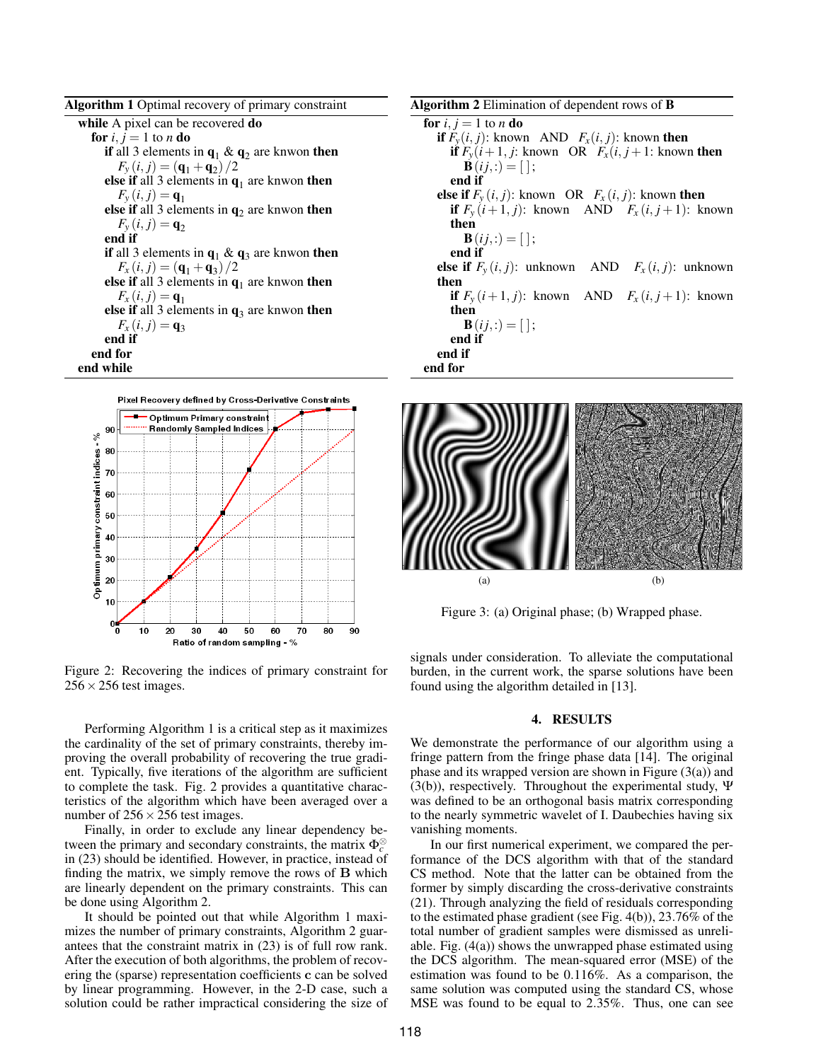| <b>Algorithm 1</b> Optimal recovery of primary constraint      |
|----------------------------------------------------------------|
| while A pixel can be recovered do                              |
| for i, $i = 1$ to n do                                         |
| if all 3 elements in $q_1 \& q_2$ are knwon then               |
| $F_v(i, j) = (q_1 + q_2)/2$                                    |
| else if all 3 elements in $q_1$ are knwon then                 |
| $F_{v}(i, j) = q_{1}$                                          |
| <b>else if</b> all 3 elements in $q_2$ are knwon <b>then</b>   |
| $F_v(i, j) = \mathbf{q}_2$                                     |
| end if                                                         |
| <b>if</b> all 3 elements in $q_1 \& q_3$ are knwon <b>then</b> |
| $F_x(i, j) = (q_1 + q_3)/2$                                    |
| <b>else if</b> all 3 elements in $q_1$ are knwon <b>then</b>   |
| $F_{x}(i, j) = q_{1}$                                          |
| <b>else if</b> all 3 elements in $q_3$ are knwon <b>then</b>   |
| $F_x(i, j) = q_3$                                              |
| end if                                                         |
| end for                                                        |
| end while                                                      |



Figure 2: Recovering the indices of primary constraint for  $256 \times 256$  test images.

Performing Algorithm 1 is a critical step as it maximizes the cardinality of the set of primary constraints, thereby improving the overall probability of recovering the true gradient. Typically, five iterations of the algorithm are sufficient to complete the task. Fig. 2 provides a quantitative characteristics of the algorithm which have been averaged over a number of  $256 \times 256$  test images.

Finally, in order to exclude any linear dependency between the primary and secondary constraints, the matrix  $\Phi_c^{\otimes}$ in (23) should be identified. However, in practice, instead of finding the matrix, we simply remove the rows of  $\bf{B}$  which are linearly dependent on the primary constraints. This can be done using Algorithm 2.

It should be pointed out that while Algorithm 1 maximizes the number of primary constraints, Algorithm 2 guarantees that the constraint matrix in (23) is of full row rank. After the execution of both algorithms, the problem of recovering the (sparse) representation coefficients c can be solved by linear programming. However, in the 2-D case, such a solution could be rather impractical considering the size of Algorithm 2 Elimination of dependent rows of B for  $i, j = 1$  to  $n$  do **if**  $F_v(i, j)$ : known AND  $F_x(i, j)$ : known then **if**  $F_v(i+1, j$ : known OR  $F_x(i, j+1)$ : known then **;** end if else if  $F_v(i, j)$ : known OR  $F_x(i, j)$ : known then if  $F_v(i+1, j)$ : known AND  $F_x(i, j+1)$ : known then  **;** end if **else if**  $F_y(i, j)$ : unknown AND  $F_x(i, j)$ : unknown then if  $F_v(i+1, j)$ : known AND  $F_x(i, j+1)$ : known then **;** end if end if end for



Figure 3: (a) Original phase; (b) Wrapped phase.

signals under consideration. To alleviate the computational burden, in the current work, the sparse solutions have been found using the algorithm detailed in [13].

# 4. RESULTS

We demonstrate the performance of our algorithm using a fringe pattern from the fringe phase data [14]. The original phase and its wrapped version are shown in Figure (3(a)) and (3(b)), respectively. Throughout the experimental study,  $\Psi$ was defined to be an orthogonal basis matrix corresponding to the nearly symmetric wavelet of I. Daubechies having six vanishing moments.

In our first numerical experiment, we compared the performance of the DCS algorithm with that of the standard CS method. Note that the latter can be obtained from the former by simply discarding the cross-derivative constraints (21). Through analyzing the field of residuals corresponding to the estimated phase gradient (see Fig. 4(b)), 23.76% of the total number of gradient samples were dismissed as unreliable. Fig. (4(a)) shows the unwrapped phase estimated using the DCS algorithm. The mean-squared error (MSE) of the estimation was found to be 0.116%. As a comparison, the same solution was computed using the standard CS, whose MSE was found to be equal to 2.35%. Thus, one can see